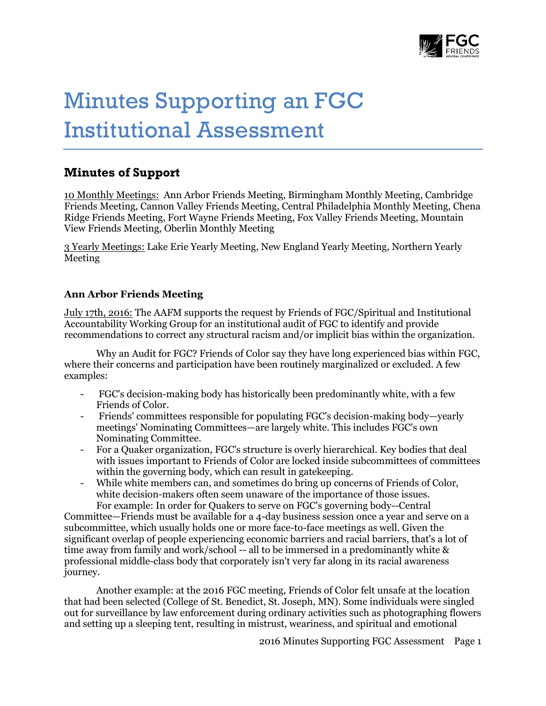

# Minutes Supporting an FGC Institutional Assessment

# **Minutes of Support**

10 Monthly Meetings: Ann Arbor Friends Meeting, Birmingham Monthly Meeting, Cambridge Friends Meeting, Cannon Valley Friends Meeting, Central Philadelphia Monthly Meeting, Chena Ridge Friends Meeting, Fort Wayne Friends Meeting, Fox Valley Friends Meeting, Mountain View Friends Meeting, Oberlin Monthly Meeting

3 Yearly Meetings: Lake Erie Yearly Meeting, New England Yearly Meeting, Northern Yearly Meeting

# **Ann Arbor Friends Meeting**

July 17th, 2016: The AAFM supports the request by Friends of FGC/Spiritual and Institutional Accountability Working Group for an institutional audit of FGC to identify and provide recommendations to correct any structural racism and/or implicit bias within the organization.

Why an Audit for FGC? Friends of Color say they have long experienced bias within FGC, where their concerns and participation have been routinely marginalized or excluded. A few examples:

- FGC's decision-making body has historically been predominantly white, with a few Friends of Color.
- Friends' committees responsible for populating FGC's decision-making body—yearly meetings' Nominating Committees—are largely white. This includes FGC's own Nominating Committee.
- For a Quaker organization, FGC's structure is overly hierarchical. Key bodies that deal with issues important to Friends of Color are locked inside subcommittees of committees within the governing body, which can result in gatekeeping.
- While white members can, and sometimes do bring up concerns of Friends of Color, white decision-makers often seem unaware of the importance of those issues. For example: In order for Quakers to serve on FGC's governing body--Central

Committee—Friends must be available for a 4-day business session once a year and serve on a subcommittee, which usually holds one or more face-to-face meetings as well. Given the significant overlap of people experiencing economic barriers and racial barriers, that's a lot of time away from family and work/school -- all to be immersed in a predominantly white & professional middle-class body that corporately isn't very far along in its racial awareness journey.

Another example: at the 2016 FGC meeting, Friends of Color felt unsafe at the location that had been selected (College of St. Benedict, St. Joseph, MN). Some individuals were singled out for surveillance by law enforcement during ordinary activities such as photographing flowers and setting up a sleeping tent, resulting in mistrust, weariness, and spiritual and emotional

2016 Minutes Supporting FGC Assessment Page 1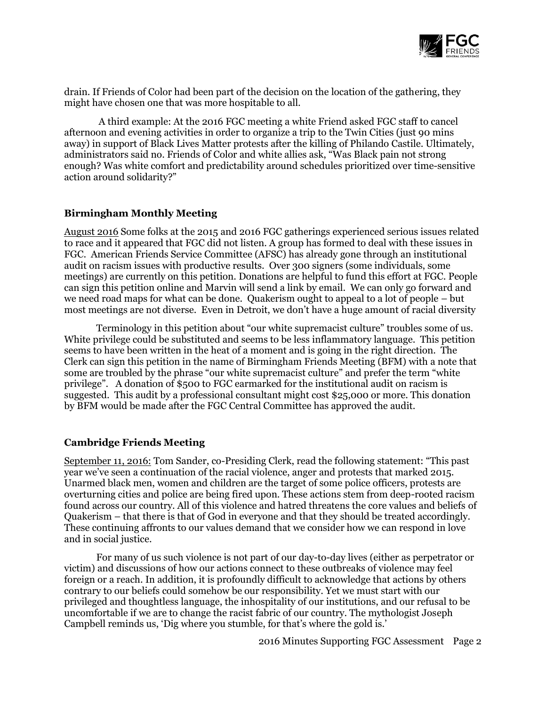

drain. If Friends of Color had been part of the decision on the location of the gathering, they might have chosen one that was more hospitable to all.

A third example: At the 2016 FGC meeting a white Friend asked FGC staff to cancel afternoon and evening activities in order to organize a trip to the Twin Cities (just 90 mins away) in support of Black Lives Matter protests after the killing of Philando Castile. Ultimately, administrators said no. Friends of Color and white allies ask, "Was Black pain not strong enough? Was white comfort and predictability around schedules prioritized over time-sensitive action around solidarity?"

#### **Birmingham Monthly Meeting**

August 2016 Some folks at the 2015 and 2016 FGC gatherings experienced serious issues related to race and it appeared that FGC did not listen. A group has formed to deal with these issues in FGC. American Friends Service Committee (AFSC) has already gone through an institutional audit on racism issues with productive results. Over 300 signers (some individuals, some meetings) are currently on this petition. Donations are helpful to fund this effort at FGC. People can sign this petition online and Marvin will send a link by email. We can only go forward and we need road maps for what can be done. Quakerism ought to appeal to a lot of people – but most meetings are not diverse. Even in Detroit, we don't have a huge amount of racial diversity

Terminology in this petition about "our white supremacist culture" troubles some of us. White privilege could be substituted and seems to be less inflammatory language. This petition seems to have been written in the heat of a moment and is going in the right direction. The Clerk can sign this petition in the name of Birmingham Friends Meeting (BFM) with a note that some are troubled by the phrase "our white supremacist culture" and prefer the term "white privilege". A donation of \$500 to FGC earmarked for the institutional audit on racism is suggested. This audit by a professional consultant might cost \$25,000 or more. This donation by BFM would be made after the FGC Central Committee has approved the audit.

#### **Cambridge Friends Meeting**

September 11, 2016: Tom Sander, co-Presiding Clerk, read the following statement: "This past year we've seen a continuation of the racial violence, anger and protests that marked 2015. Unarmed black men, women and children are the target of some police officers, protests are overturning cities and police are being fired upon. These actions stem from deep-rooted racism found across our country. All of this violence and hatred threatens the core values and beliefs of Quakerism – that there is that of God in everyone and that they should be treated accordingly. These continuing affronts to our values demand that we consider how we can respond in love and in social justice.

For many of us such violence is not part of our day-to-day lives (either as perpetrator or victim) and discussions of how our actions connect to these outbreaks of violence may feel foreign or a reach. In addition, it is profoundly difficult to acknowledge that actions by others contrary to our beliefs could somehow be our responsibility. Yet we must start with our privileged and thoughtless language, the inhospitality of our institutions, and our refusal to be uncomfortable if we are to change the racist fabric of our country. The mythologist Joseph Campbell reminds us, 'Dig where you stumble, for that's where the gold is.'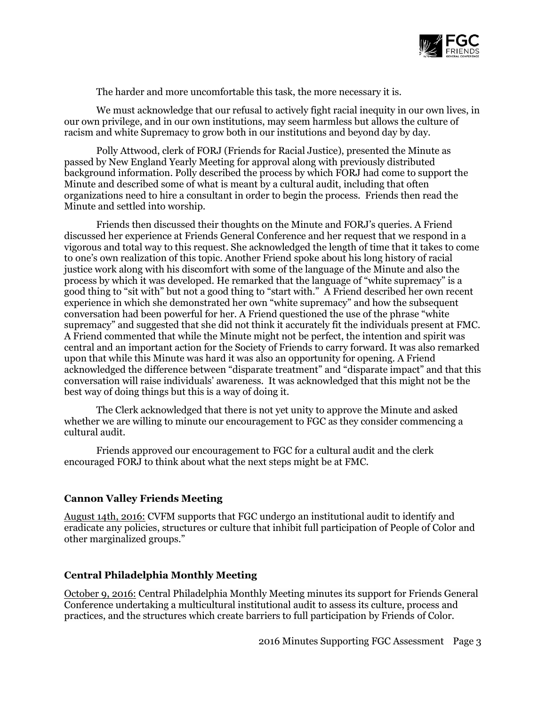

The harder and more uncomfortable this task, the more necessary it is.

We must acknowledge that our refusal to actively fight racial inequity in our own lives, in our own privilege, and in our own institutions, may seem harmless but allows the culture of racism and white Supremacy to grow both in our institutions and beyond day by day.

Polly Attwood, clerk of FORJ (Friends for Racial Justice), presented the Minute as passed by New England Yearly Meeting for approval along with previously distributed background information. Polly described the process by which FORJ had come to support the Minute and described some of what is meant by a cultural audit, including that often organizations need to hire a consultant in order to begin the process. Friends then read the Minute and settled into worship.

Friends then discussed their thoughts on the Minute and FORJ's queries. A Friend discussed her experience at Friends General Conference and her request that we respond in a vigorous and total way to this request. She acknowledged the length of time that it takes to come to one's own realization of this topic. Another Friend spoke about his long history of racial justice work along with his discomfort with some of the language of the Minute and also the process by which it was developed. He remarked that the language of "white supremacy" is a good thing to "sit with" but not a good thing to "start with." A Friend described her own recent experience in which she demonstrated her own "white supremacy" and how the subsequent conversation had been powerful for her. A Friend questioned the use of the phrase "white supremacy" and suggested that she did not think it accurately fit the individuals present at FMC. A Friend commented that while the Minute might not be perfect, the intention and spirit was central and an important action for the Society of Friends to carry forward. It was also remarked upon that while this Minute was hard it was also an opportunity for opening. A Friend acknowledged the difference between "disparate treatment" and "disparate impact" and that this conversation will raise individuals' awareness. It was acknowledged that this might not be the best way of doing things but this is a way of doing it.

The Clerk acknowledged that there is not yet unity to approve the Minute and asked whether we are willing to minute our encouragement to FGC as they consider commencing a cultural audit.

Friends approved our encouragement to FGC for a cultural audit and the clerk encouraged FORJ to think about what the next steps might be at FMC.

#### **Cannon Valley Friends Meeting**

August 14th, 2016: CVFM supports that FGC undergo an institutional audit to identify and eradicate any policies, structures or culture that inhibit full participation of People of Color and other marginalized groups."

#### **Central Philadelphia Monthly Meeting**

October 9, 2016: Central Philadelphia Monthly Meeting minutes its support for Friends General Conference undertaking a multicultural institutional audit to assess its culture, process and practices, and the structures which create barriers to full participation by Friends of Color.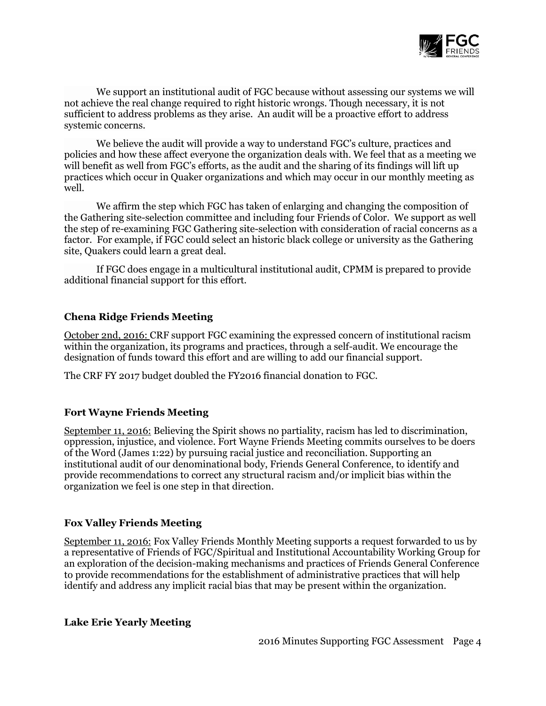

We support an institutional audit of FGC because without assessing our systems we will not achieve the real change required to right historic wrongs. Though necessary, it is not sufficient to address problems as they arise. An audit will be a proactive effort to address systemic concerns.

We believe the audit will provide a way to understand FGC's culture, practices and policies and how these affect everyone the organization deals with. We feel that as a meeting we will benefit as well from FGC's efforts, as the audit and the sharing of its findings will lift up practices which occur in Quaker organizations and which may occur in our monthly meeting as well.

We affirm the step which FGC has taken of enlarging and changing the composition of the Gathering site-selection committee and including four Friends of Color. We support as well the step of re-examining FGC Gathering site-selection with consideration of racial concerns as a factor. For example, if FGC could select an historic black college or university as the Gathering site, Quakers could learn a great deal.

If FGC does engage in a multicultural institutional audit, CPMM is prepared to provide additional financial support for this effort.

# **Chena Ridge Friends Meeting**

October 2nd, 2016: CRF support FGC examining the expressed concern of institutional racism within the organization, its programs and practices, through a self-audit. We encourage the designation of funds toward this effort and are willing to add our financial support.

The CRF FY 2017 budget doubled the FY2016 financial donation to FGC.

#### **Fort Wayne Friends Meeting**

September 11, 2016: Believing the Spirit shows no partiality, racism has led to discrimination, oppression, injustice, and violence. Fort Wayne Friends Meeting commits ourselves to be doers of the Word (James 1:22) by pursuing racial justice and reconciliation. Supporting an institutional audit of our denominational body, Friends General Conference, to identify and provide recommendations to correct any structural racism and/or implicit bias within the organization we feel is one step in that direction.

#### **Fox Valley Friends Meeting**

September 11, 2016: Fox Valley Friends Monthly Meeting supports a request forwarded to us by a representative of Friends of FGC/Spiritual and Institutional Accountability Working Group for an exploration of the decision-making mechanisms and practices of Friends General Conference to provide recommendations for the establishment of administrative practices that will help identify and address any implicit racial bias that may be present within the organization.

#### **Lake Erie Yearly Meeting**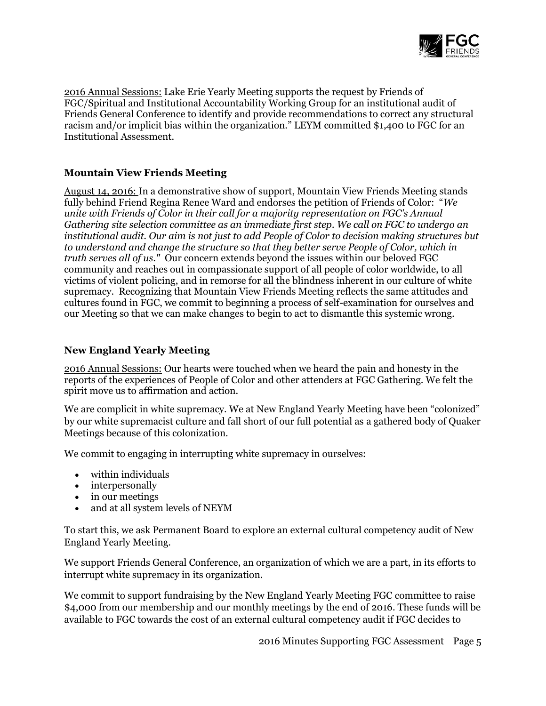

2016 Annual Sessions: Lake Erie Yearly Meeting supports the request by Friends of FGC/Spiritual and Institutional Accountability Working Group for an institutional audit of Friends General Conference to identify and provide recommendations to correct any structural racism and/or implicit bias within the organization." LEYM committed \$1,400 to FGC for an Institutional Assessment.

# **Mountain View Friends Meeting**

August 14, 2016: In a demonstrative show of support, Mountain View Friends Meeting stands fully behind Friend Regina Renee Ward and endorses the petition of Friends of Color: "*We unite with Friends of Color in their call for a majority representation on FGC's Annual Gathering site selection committee as an immediate first step. We call on FGC to undergo an institutional audit. Our aim is not just to add People of Color to decision making structures but to understand and change the structure so that they better serve People of Color, which in truth serves all of us."* Our concern extends beyond the issues within our beloved FGC community and reaches out in compassionate support of all people of color worldwide, to all victims of violent policing, and in remorse for all the blindness inherent in our culture of white supremacy. Recognizing that Mountain View Friends Meeting reflects the same attitudes and cultures found in FGC, we commit to beginning a process of self-examination for ourselves and our Meeting so that we can make changes to begin to act to dismantle this systemic wrong.

# **New England Yearly Meeting**

2016 Annual Sessions: Our hearts were touched when we heard the pain and honesty in the reports of the experiences of People of Color and other attenders at FGC Gathering. We felt the spirit move us to affirmation and action.

We are complicit in white supremacy. We at New England Yearly Meeting have been "colonized" by our white supremacist culture and fall short of our full potential as a gathered body of Quaker Meetings because of this colonization.

We commit to engaging in interrupting white supremacy in ourselves:

- within individuals
- interpersonally
- in our meetings
- and at all system levels of NEYM

To start this, we ask Permanent Board to explore an external cultural competency audit of New England Yearly Meeting.

We support Friends General Conference, an organization of which we are a part, in its efforts to interrupt white supremacy in its organization.

We commit to support fundraising by the New England Yearly Meeting FGC committee to raise \$4,000 from our membership and our monthly meetings by the end of 2016. These funds will be available to FGC towards the cost of an external cultural competency audit if FGC decides to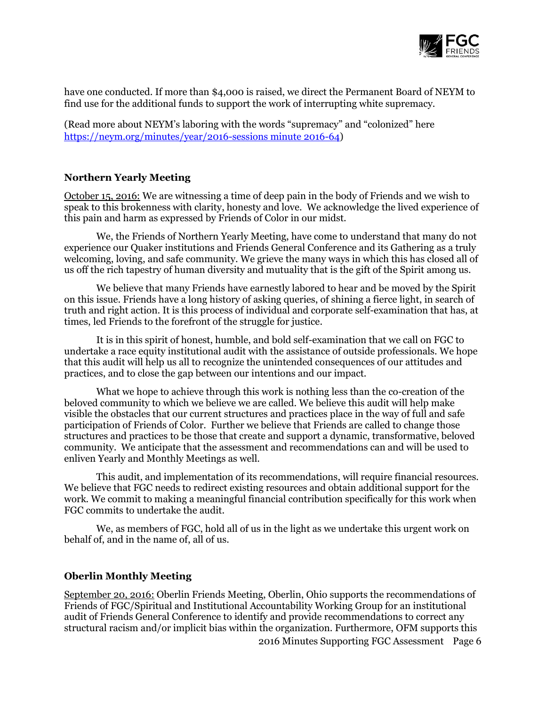

have one conducted. If more than \$4,000 is raised, we direct the Permanent Board of NEYM to find use for the additional funds to support the work of interrupting white supremacy.

(Read more about NEYM's laboring with the words "supremacy" and "colonized" here [https://neym.org/minutes/year/2016-sessions minute 2016-64\)](https://neym.org/minutes/year/2016-sessions%20minute%202016-64)

#### **Northern Yearly Meeting**

October 15, 2016: We are witnessing a time of deep pain in the body of Friends and we wish to speak to this brokenness with clarity, honesty and love. We acknowledge the lived experience of this pain and harm as expressed by Friends of Color in our midst.

We, the Friends of Northern Yearly Meeting, have come to understand that many do not experience our Quaker institutions and Friends General Conference and its Gathering as a truly welcoming, loving, and safe community. We grieve the many ways in which this has closed all of us off the rich tapestry of human diversity and mutuality that is the gift of the Spirit among us.

We believe that many Friends have earnestly labored to hear and be moved by the Spirit on this issue. Friends have a long history of asking queries, of shining a fierce light, in search of truth and right action. It is this process of individual and corporate self-examination that has, at times, led Friends to the forefront of the struggle for justice.

It is in this spirit of honest, humble, and bold self-examination that we call on FGC to undertake a race equity institutional audit with the assistance of outside professionals. We hope that this audit will help us all to recognize the unintended consequences of our attitudes and practices, and to close the gap between our intentions and our impact.

What we hope to achieve through this work is nothing less than the co-creation of the beloved community to which we believe we are called. We believe this audit will help make visible the obstacles that our current structures and practices place in the way of full and safe participation of Friends of Color. Further we believe that Friends are called to change those structures and practices to be those that create and support a dynamic, transformative, beloved community. We anticipate that the assessment and recommendations can and will be used to enliven Yearly and Monthly Meetings as well.

This audit, and implementation of its recommendations, will require financial resources. We believe that FGC needs to redirect existing resources and obtain additional support for the work. We commit to making a meaningful financial contribution specifically for this work when FGC commits to undertake the audit.

We, as members of FGC, hold all of us in the light as we undertake this urgent work on behalf of, and in the name of, all of us.

#### **Oberlin Monthly Meeting**

September 20, 2016: Oberlin Friends Meeting, Oberlin, Ohio supports the recommendations of Friends of FGC/Spiritual and Institutional Accountability Working Group for an institutional audit of Friends General Conference to identify and provide recommendations to correct any structural racism and/or implicit bias within the organization. Furthermore, OFM supports this

2016 Minutes Supporting FGC Assessment Page 6